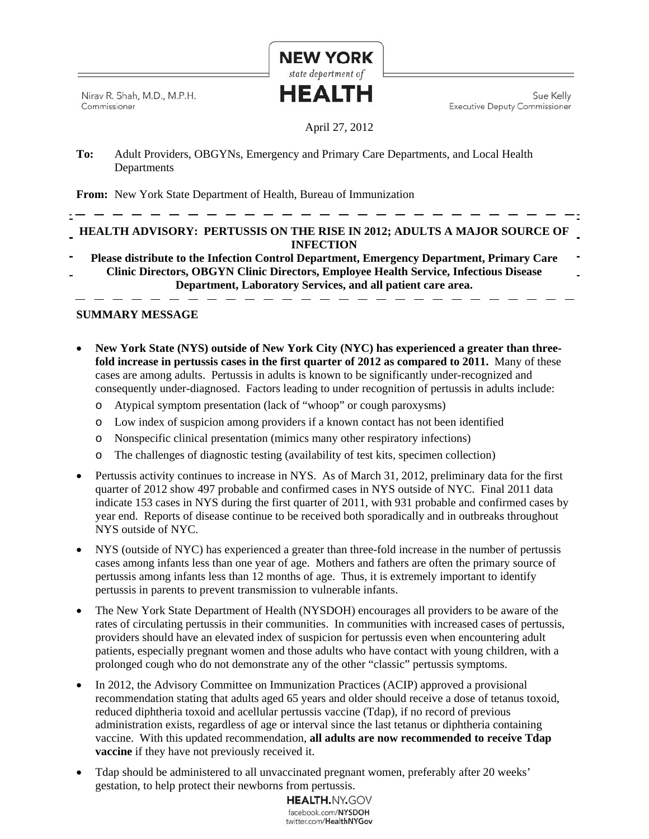Nirav R. Shah, M.D., M.P.H. Commissioner

Sue Kelly **Executive Deputy Commissioner** 

# April 27, 2012

**NEW YORK** state department of HEALTH

**To:** Adult Providers, OBGYNs, Emergency and Primary Care Departments, and Local Health **Departments** 

**From:** New York State Department of Health, Bureau of Immunization

# **HEALTH ADVISORY: PERTUSSIS ON THE RISE IN 2012; ADULTS A MAJOR SOURCE OF INFECTION**

**Please distribute to the Infection Control Department, Emergency Department, Primary Care Clinic Directors, OBGYN Clinic Directors, Employee Health Service, Infectious Disease Department, Laboratory Services, and all patient care area.** 

# **SUMMARY MESSAGE**

- **New York State (NYS) outside of New York City (NYC) has experienced a greater than threefold increase in pertussis cases in the first quarter of 2012 as compared to 2011.** Many of these cases are among adults. Pertussis in adults is known to be significantly under-recognized and consequently under-diagnosed. Factors leading to under recognition of pertussis in adults include:
	- o Atypical symptom presentation (lack of "whoop" or cough paroxysms)
	- o Low index of suspicion among providers if a known contact has not been identified
	- o Nonspecific clinical presentation (mimics many other respiratory infections)
	- o The challenges of diagnostic testing (availability of test kits, specimen collection)
- Pertussis activity continues to increase in NYS. As of March 31, 2012, preliminary data for the first quarter of 2012 show 497 probable and confirmed cases in NYS outside of NYC. Final 2011 data indicate 153 cases in NYS during the first quarter of 2011, with 931 probable and confirmed cases by year end. Reports of disease continue to be received both sporadically and in outbreaks throughout NYS outside of NYC.
- NYS (outside of NYC) has experienced a greater than three-fold increase in the number of pertussis cases among infants less than one year of age. Mothers and fathers are often the primary source of pertussis among infants less than 12 months of age. Thus, it is extremely important to identify pertussis in parents to prevent transmission to vulnerable infants.
- The New York State Department of Health (NYSDOH) encourages all providers to be aware of the rates of circulating pertussis in their communities. In communities with increased cases of pertussis, providers should have an elevated index of suspicion for pertussis even when encountering adult patients, especially pregnant women and those adults who have contact with young children, with a prolonged cough who do not demonstrate any of the other "classic" pertussis symptoms.
- In 2012, the Advisory Committee on Immunization Practices (ACIP) approved a provisional recommendation stating that adults aged 65 years and older should receive a dose of tetanus toxoid, reduced diphtheria toxoid and acellular pertussis vaccine (Tdap), if no record of previous administration exists, regardless of age or interval since the last tetanus or diphtheria containing vaccine. With this updated recommendation, **all adults are now recommended to receive Tdap vaccine** if they have not previously received it.
- Tdap should be administered to all unvaccinated pregnant women, preferably after 20 weeks' gestation, to help protect their newborns from pertussis.

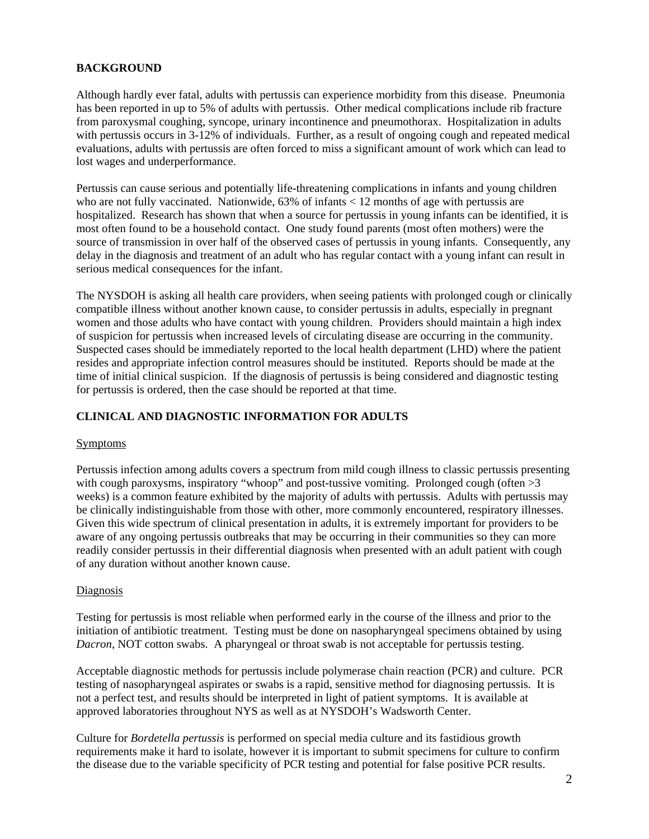### **BACKGROUND**

Although hardly ever fatal, adults with pertussis can experience morbidity from this disease. Pneumonia has been reported in up to 5% of adults with pertussis. Other medical complications include rib fracture from paroxysmal coughing, syncope, urinary incontinence and pneumothorax. Hospitalization in adults with pertussis occurs in 3-12% of individuals. Further, as a result of ongoing cough and repeated medical evaluations, adults with pertussis are often forced to miss a significant amount of work which can lead to lost wages and underperformance.

Pertussis can cause serious and potentially life-threatening complications in infants and young children who are not fully vaccinated. Nationwide, 63% of infants < 12 months of age with pertussis are hospitalized. Research has shown that when a source for pertussis in young infants can be identified, it is most often found to be a household contact. One study found parents (most often mothers) were the source of transmission in over half of the observed cases of pertussis in young infants. Consequently, any delay in the diagnosis and treatment of an adult who has regular contact with a young infant can result in serious medical consequences for the infant.

The NYSDOH is asking all health care providers, when seeing patients with prolonged cough or clinically compatible illness without another known cause, to consider pertussis in adults, especially in pregnant women and those adults who have contact with young children. Providers should maintain a high index of suspicion for pertussis when increased levels of circulating disease are occurring in the community. Suspected cases should be immediately reported to the local health department (LHD) where the patient resides and appropriate infection control measures should be instituted. Reports should be made at the time of initial clinical suspicion. If the diagnosis of pertussis is being considered and diagnostic testing for pertussis is ordered, then the case should be reported at that time.

# **CLINICAL AND DIAGNOSTIC INFORMATION FOR ADULTS**

#### Symptoms

Pertussis infection among adults covers a spectrum from mild cough illness to classic pertussis presenting with cough paroxysms, inspiratory "whoop" and post-tussive vomiting. Prolonged cough (often  $>3$ weeks) is a common feature exhibited by the majority of adults with pertussis. Adults with pertussis may be clinically indistinguishable from those with other, more commonly encountered, respiratory illnesses. Given this wide spectrum of clinical presentation in adults, it is extremely important for providers to be aware of any ongoing pertussis outbreaks that may be occurring in their communities so they can more readily consider pertussis in their differential diagnosis when presented with an adult patient with cough of any duration without another known cause.

#### Diagnosis

Testing for pertussis is most reliable when performed early in the course of the illness and prior to the initiation of antibiotic treatment. Testing must be done on nasopharyngeal specimens obtained by using *Dacron*, NOT cotton swabs. A pharyngeal or throat swab is not acceptable for pertussis testing.

Acceptable diagnostic methods for pertussis include polymerase chain reaction (PCR) and culture. PCR testing of nasopharyngeal aspirates or swabs is a rapid, sensitive method for diagnosing pertussis. It is not a perfect test, and results should be interpreted in light of patient symptoms. It is available at approved laboratories throughout NYS as well as at NYSDOH's Wadsworth Center.

Culture for *Bordetella pertussis* is performed on special media culture and its fastidious growth requirements make it hard to isolate, however it is important to submit specimens for culture to confirm the disease due to the variable specificity of PCR testing and potential for false positive PCR results.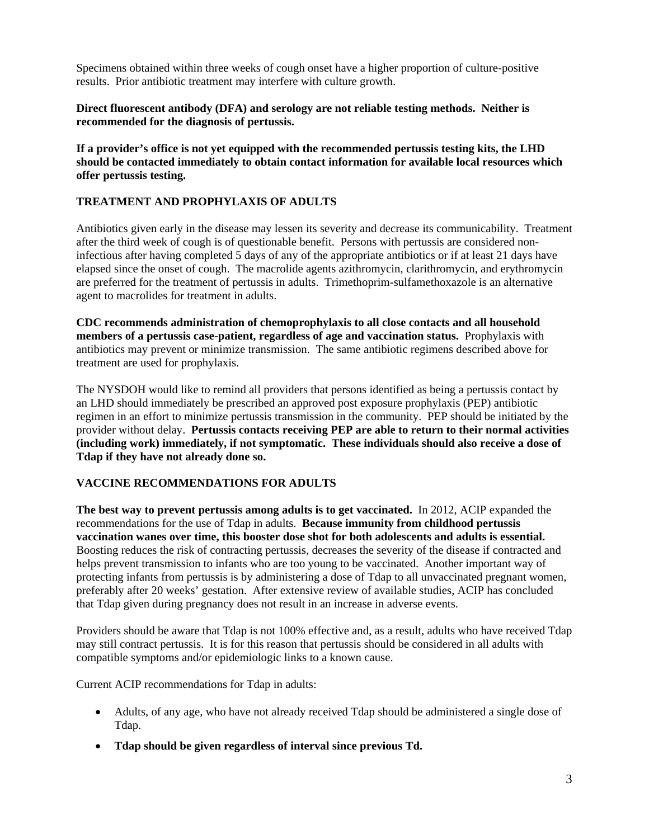Specimens obtained within three weeks of cough onset have a higher proportion of culture-positive results. Prior antibiotic treatment may interfere with culture growth.

**Direct fluorescent antibody (DFA) and serology are not reliable testing methods. Neither is recommended for the diagnosis of pertussis.** 

**If a provider's office is not yet equipped with the recommended pertussis testing kits, the LHD should be contacted immediately to obtain contact information for available local resources which offer pertussis testing.** 

### **TREATMENT AND PROPHYLAXIS OF ADULTS**

Antibiotics given early in the disease may lessen its severity and decrease its communicability. Treatment after the third week of cough is of questionable benefit. Persons with pertussis are considered noninfectious after having completed 5 days of any of the appropriate antibiotics or if at least 21 days have elapsed since the onset of cough. The macrolide agents azithromycin, clarithromycin, and erythromycin are preferred for the treatment of pertussis in adults. Trimethoprim-sulfamethoxazole is an alternative agent to macrolides for treatment in adults.

**CDC recommends administration of chemoprophylaxis to all close contacts and all household members of a pertussis case-patient, regardless of age and vaccination status.** Prophylaxis with antibiotics may prevent or minimize transmission. The same antibiotic regimens described above for treatment are used for prophylaxis.

The NYSDOH would like to remind all providers that persons identified as being a pertussis contact by an LHD should immediately be prescribed an approved post exposure prophylaxis (PEP) antibiotic regimen in an effort to minimize pertussis transmission in the community. PEP should be initiated by the provider without delay. **Pertussis contacts receiving PEP are able to return to their normal activities (including work) immediately, if not symptomatic. These individuals should also receive a dose of Tdap if they have not already done so.** 

### **VACCINE RECOMMENDATIONS FOR ADULTS**

**The best way to prevent pertussis among adults is to get vaccinated.** In 2012, ACIP expanded the recommendations for the use of Tdap in adults. **Because immunity from childhood pertussis vaccination wanes over time, this booster dose shot for both adolescents and adults is essential.**  Boosting reduces the risk of contracting pertussis, decreases the severity of the disease if contracted and helps prevent transmission to infants who are too young to be vaccinated. Another important way of protecting infants from pertussis is by administering a dose of Tdap to all unvaccinated pregnant women, preferably after 20 weeks' gestation. After extensive review of available studies, ACIP has concluded that Tdap given during pregnancy does not result in an increase in adverse events.

Providers should be aware that Tdap is not 100% effective and, as a result, adults who have received Tdap may still contract pertussis. It is for this reason that pertussis should be considered in all adults with compatible symptoms and/or epidemiologic links to a known cause.

Current ACIP recommendations for Tdap in adults:

- Adults, of any age, who have not already received Tdap should be administered a single dose of Tdap.
- **Tdap should be given regardless of interval since previous Td.**